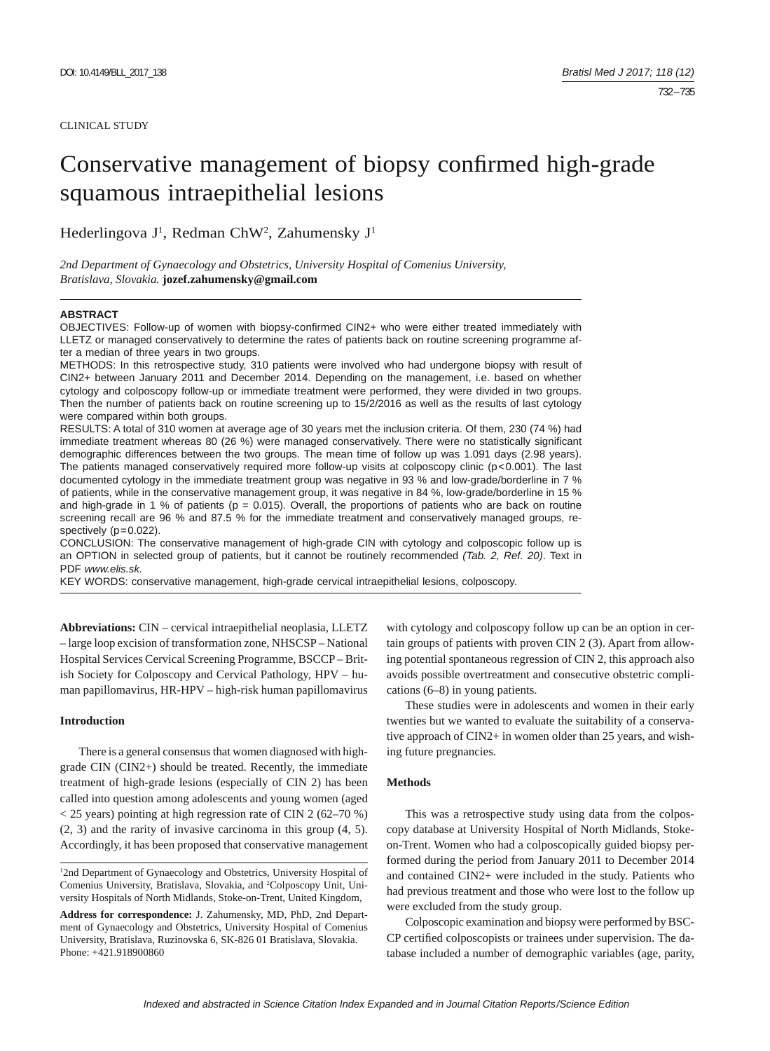#### CLINICAL STUDY

# Conservative management of biopsy confirmed high-grade squamous intraepithelial lesions

Hederlingova J<sup>1</sup>, Redman ChW<sup>2</sup>, Zahumensky J<sup>1</sup>

*2nd Department of Gynaecology and Obstetrics, University Hospital of Comenius University, Bratislava, Slovakia.* **jozef.zahumensky@gmail.com**

#### **ABSTRACT**

OBJECTIVES: Follow-up of women with biopsy-confirmed CIN2+ who were either treated immediately with LLETZ or managed conservatively to determine the rates of patients back on routine screening programme after a median of three years in two groups.

METHODS: In this retrospective study, 310 patients were involved who had undergone biopsy with result of CIN2+ between January 2011 and December 2014. Depending on the management, i.e. based on whether cytology and colposcopy follow-up or immediate treatment were performed, they were divided in two groups. Then the number of patients back on routine screening up to 15/2/2016 as well as the results of last cytology were compared within both groups.

RESULTS: A total of 310 women at average age of 30 years met the inclusion criteria. Of them, 230 (74 %) had immediate treatment whereas 80 (26 %) were managed conservatively. There were no statistically significant demographic differences between the two groups. The mean time of follow up was 1.091 days (2.98 years). The patients managed conservatively required more follow-up visits at colposcopy clinic ( $p$ <0.001). The last documented cytology in the immediate treatment group was negative in 93 % and low-grade/borderline in 7 % of patients, while in the conservative management group, it was negative in 84 %, low-grade/borderline in 15 % and high-grade in 1 % of patients ( $p = 0.015$ ). Overall, the proportions of patients who are back on routine screening recall are 96 % and 87.5 % for the immediate treatment and conservatively managed groups, respectively  $(p=0.022)$ .

CONCLUSION: The conservative management of high-grade CIN with cytology and colposcopic follow up is an OPTION in selected group of patients, but it cannot be routinely recommended *(Tab. 2, Ref. 20)*. Text in PDF *www.elis.sk.*

KEY WORDS: conservative management, high-grade cervical intraepithelial lesions, colposcopy.

**Abbreviations:** CIN – cervical intraepithelial neoplasia, LLETZ – large loop excision of transformation zone, NHSCSP – National Hospital Services Cervical Screening Programme, BSCCP – British Society for Colposcopy and Cervical Pathology, HPV – human papillomavirus, HR-HPV – high-risk human papillomavirus

# **Introduction**

There is a general consensus that women diagnosed with highgrade CIN (CIN2+) should be treated. Recently, the immediate treatment of high-grade lesions (especially of CIN 2) has been called into question among adolescents and young women (aged < 25 years) pointing at high regression rate of CIN 2 (62–70 %) (2, 3) and the rarity of invasive carcinoma in this group (4, 5). Accordingly, it has been proposed that conservative management with cytology and colposcopy follow up can be an option in certain groups of patients with proven CIN 2 (3). Apart from allowing potential spontaneous regression of CIN 2, this approach also avoids possible overtreatment and consecutive obstetric complications (6–8) in young patients.

These studies were in adolescents and women in their early twenties but we wanted to evaluate the suitability of a conservative approach of CIN2+ in women older than 25 years, and wishing future pregnancies.

# **Methods**

This was a retrospective study using data from the colposcopy database at University Hospital of North Midlands, Stokeon-Trent. Women who had a colposcopically guided biopsy performed during the period from January 2011 to December 2014 and contained CIN2+ were included in the study. Patients who had previous treatment and those who were lost to the follow up were excluded from the study group.

Colposcopic examination and biopsy were performed by BSC-CP certified colposcopists or trainees under supervision. The database included a number of demographic variables (age, parity,

<sup>&</sup>lt;sup>1</sup>2nd Department of Gynaecology and Obstetrics, University Hospital of Comenius University, Bratislava, Slovakia, and <sup>2</sup>Colposcopy Unit, University Hospitals of North Midlands, Stoke-on-Trent, United Kingdom,

**Address for correspondence:** J. Zahumensky, MD, PhD, 2nd Department of Gynaecology and Obstetrics, University Hospital of Comenius University, Bratislava, Ruzinovska 6, SK-826 01 Bratislava, Slovakia. Phone: +421.918900860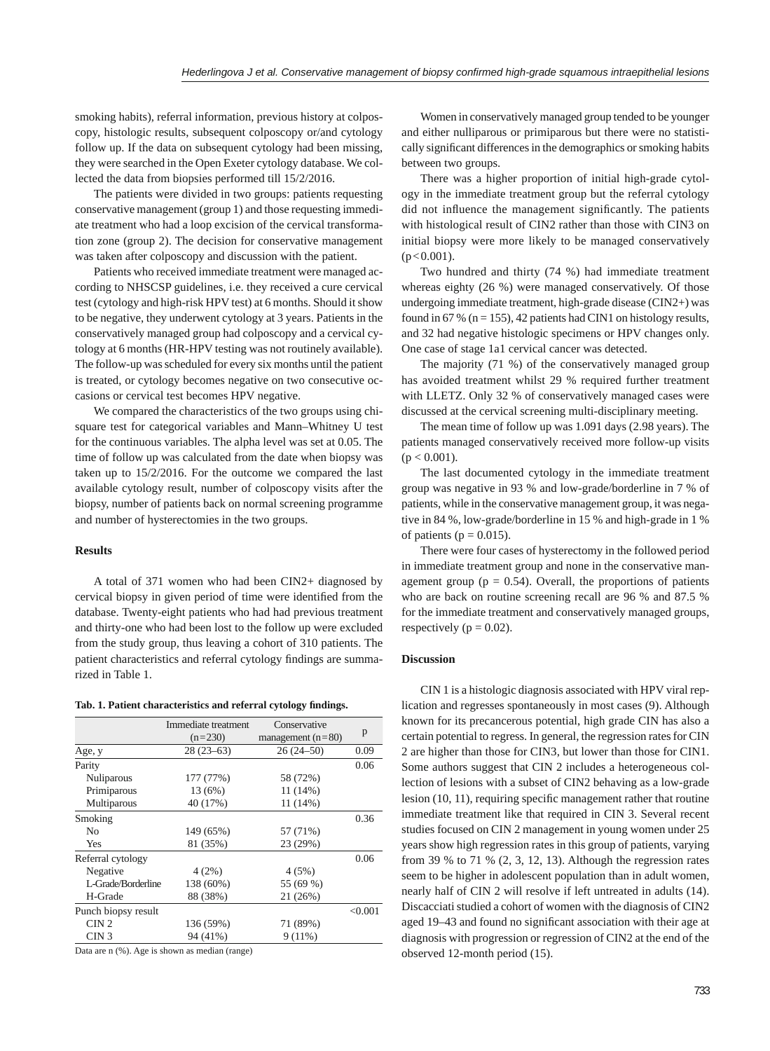smoking habits), referral information, previous history at colposcopy, histologic results, subsequent colposcopy or/and cytology follow up. If the data on subsequent cytology had been missing, they were searched in the Open Exeter cytology database. We collected the data from biopsies performed till 15/2/2016.

The patients were divided in two groups: patients requesting conservative management (group 1) and those requesting immediate treatment who had a loop excision of the cervical transformation zone (group 2). The decision for conservative management was taken after colposcopy and discussion with the patient.

Patients who received immediate treatment were managed according to NHSCSP guidelines, i.e. they received a cure cervical test (cytology and high-risk HPV test) at 6 months. Should it show to be negative, they underwent cytology at 3 years. Patients in the conservatively managed group had colposcopy and a cervical cytology at 6 months (HR-HPV testing was not routinely available). The follow-up was scheduled for every six months until the patient is treated, or cytology becomes negative on two consecutive occasions or cervical test becomes HPV negative.

We compared the characteristics of the two groups using chisquare test for categorical variables and Mann–Whitney U test for the continuous variables. The alpha level was set at 0.05. The time of follow up was calculated from the date when biopsy was taken up to 15/2/2016. For the outcome we compared the last available cytology result, number of colposcopy visits after the biopsy, number of patients back on normal screening programme and number of hysterectomies in the two groups.

# **Results**

A total of 371 women who had been CIN2+ diagnosed by cervical biopsy in given period of time were identified from the database. Twenty-eight patients who had had previous treatment and thirty-one who had been lost to the follow up were excluded from the study group, thus leaving a cohort of 310 patients. The patient characteristics and referral cytology findings are summarized in Table 1.

| Tab. 1. Patient characteristics and referral cytology findings. |  |  |  |
|-----------------------------------------------------------------|--|--|--|
|-----------------------------------------------------------------|--|--|--|

|                     | Immediate treatment | Conservative        |         |
|---------------------|---------------------|---------------------|---------|
|                     | $(n=230)$           | management $(n=80)$ | p       |
| Age, y              | $28(23-63)$         | $26(24 - 50)$       | 0.09    |
| Parity              |                     |                     | 0.06    |
| <b>Nuliparous</b>   | 177 (77%)           | 58 (72%)            |         |
| Primiparous         | 13 (6%)             | 11 (14%)            |         |
| Multiparous         | 40 (17%)            | 11 (14%)            |         |
| Smoking             |                     |                     | 0.36    |
| N <sub>0</sub>      | 149 (65%)           | 57 (71%)            |         |
| Yes                 | 81 (35%)            | 23 (29%)            |         |
| Referral cytology   |                     |                     | 0.06    |
| Negative            | 4(2%)               | 4(5%)               |         |
| L-Grade/Borderline  | 138 (60%)           | 55 (69 %)           |         |
| H-Grade             | 88 (38%)            | 21 (26%)            |         |
| Punch biopsy result |                     |                     | < 0.001 |
| CIN2                | 136 (59%)           | 71 (89%)            |         |
| CIN <sub>3</sub>    | 94 (41%)            | $9(11\%)$           |         |
| $-1$                |                     |                     |         |

Data are n (%). Age is shown as median (range)

Women in conservatively managed group tended to be younger and either nulliparous or primiparous but there were no statistically significant differences in the demographics or smoking habits between two groups.

There was a higher proportion of initial high-grade cytology in the immediate treatment group but the referral cytology did not influence the management significantly. The patients with histological result of CIN2 rather than those with CIN3 on initial biopsy were more likely to be managed conservatively  $(p<0.001)$ .

Two hundred and thirty (74 %) had immediate treatment whereas eighty (26 %) were managed conservatively. Of those undergoing immediate treatment, high-grade disease (CIN2+) was found in 67 % ( $n = 155$ ), 42 patients had CIN1 on histology results, and 32 had negative histologic specimens or HPV changes only. One case of stage 1a1 cervical cancer was detected.

The majority (71 %) of the conservatively managed group has avoided treatment whilst 29 % required further treatment with LLETZ. Only 32 % of conservatively managed cases were discussed at the cervical screening multi-disciplinary meeting.

The mean time of follow up was 1.091 days (2.98 years). The patients managed conservatively received more follow-up visits  $(p < 0.001)$ .

The last documented cytology in the immediate treatment group was negative in 93 % and low-grade/borderline in 7 % of patients, while in the conservative management group, it was negative in 84 %, low-grade/borderline in 15 % and high-grade in 1 % of patients ( $p = 0.015$ ).

There were four cases of hysterectomy in the followed period in immediate treatment group and none in the conservative management group ( $p = 0.54$ ). Overall, the proportions of patients who are back on routine screening recall are 96 % and 87.5 % for the immediate treatment and conservatively managed groups, respectively ( $p = 0.02$ ).

## **Discussion**

CIN 1 is a histologic diagnosis associated with HPV viral replication and regresses spontaneously in most cases (9). Although known for its precancerous potential, high grade CIN has also a certain potential to regress. In general, the regression rates for CIN 2 are higher than those for CIN3, but lower than those for CIN1. Some authors suggest that CIN 2 includes a heterogeneous collection of lesions with a subset of CIN2 behaving as a low-grade lesion  $(10, 11)$ , requiring specific management rather that routine immediate treatment like that required in CIN 3. Several recent studies focused on CIN 2 management in young women under 25 years show high regression rates in this group of patients, varying from 39 % to 71 %  $(2, 3, 12, 13)$ . Although the regression rates seem to be higher in adolescent population than in adult women, nearly half of CIN 2 will resolve if left untreated in adults (14). Discacciati studied a cohort of women with the diagnosis of CIN2 aged 19–43 and found no significant association with their age at diagnosis with progression or regression of CIN2 at the end of the observed 12-month period (15).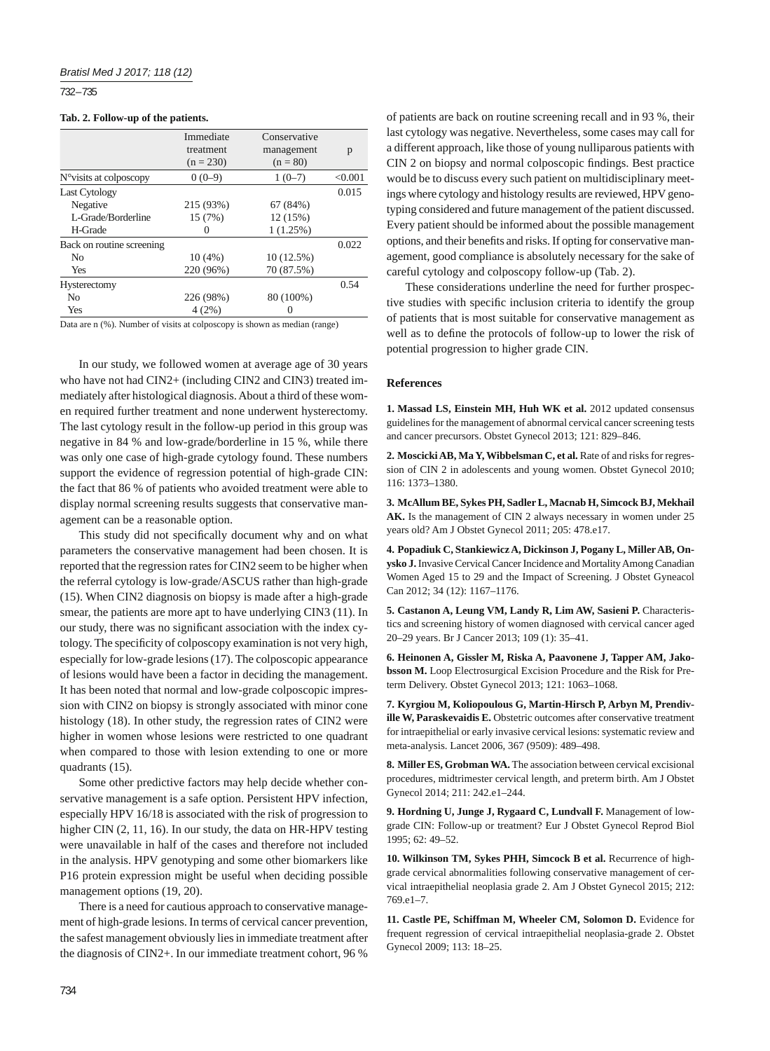732 – 735

#### **Tab. 2. Follow-up of the patients.**

|                                  | Immediate   | Conservative |         |
|----------------------------------|-------------|--------------|---------|
|                                  | treatment   | management   | p       |
|                                  | $(n = 230)$ | $(n = 80)$   |         |
| $N^{\circ}$ visits at colposcopy | $0(0-9)$    | $1(0-7)$     | < 0.001 |
| Last Cytology                    |             |              | 0.015   |
| Negative                         | 215 (93%)   | 67(84%)      |         |
| L-Grade/Borderline               | 15 (7%)     | 12 (15%)     |         |
| H-Grade                          |             | 1(1.25%)     |         |
| Back on routine screening        |             |              | 0.022   |
| N <sub>0</sub>                   | 10(4%)      | 10(12.5%)    |         |
| Yes                              | 220 (96%)   | 70 (87.5%)   |         |
| Hysterectomy                     |             |              | 0.54    |
| No                               | 226 (98%)   | 80 (100%)    |         |
| Yes                              | 4(2%)       | $\theta$     |         |

Data are n (%). Number of visits at colposcopy is shown as median (range)

In our study, we followed women at average age of 30 years who have not had CIN2+ (including CIN2 and CIN3) treated immediately after histological diagnosis. About a third of these women required further treatment and none underwent hysterectomy. The last cytology result in the follow-up period in this group was negative in 84 % and low-grade/borderline in 15 %, while there was only one case of high-grade cytology found. These numbers support the evidence of regression potential of high-grade CIN: the fact that 86 % of patients who avoided treatment were able to display normal screening results suggests that conservative management can be a reasonable option.

This study did not specifically document why and on what parameters the conservative management had been chosen. It is reported that the regression rates for CIN2 seem to be higher when the referral cytology is low-grade/ASCUS rather than high-grade (15). When CIN2 diagnosis on biopsy is made after a high-grade smear, the patients are more apt to have underlying CIN3 (11). In our study, there was no significant association with the index cytology. The specificity of colposcopy examination is not very high, especially for low-grade lesions (17). The colposcopic appearance of lesions would have been a factor in deciding the management. It has been noted that normal and low-grade colposcopic impression with CIN2 on biopsy is strongly associated with minor cone histology (18). In other study, the regression rates of CIN2 were higher in women whose lesions were restricted to one quadrant when compared to those with lesion extending to one or more quadrants (15).

Some other predictive factors may help decide whether conservative management is a safe option. Persistent HPV infection, especially HPV 16/18 is associated with the risk of progression to higher CIN (2, 11, 16). In our study, the data on HR-HPV testing were unavailable in half of the cases and therefore not included in the analysis. HPV genotyping and some other biomarkers like P16 protein expression might be useful when deciding possible management options (19, 20).

There is a need for cautious approach to conservative management of high-grade lesions. In terms of cervical cancer prevention, the safest management obviously lies in immediate treatment after the diagnosis of CIN2+. In our immediate treatment cohort, 96 %

of patients are back on routine screening recall and in 93 %, their last cytology was negative. Nevertheless, some cases may call for a different approach, like those of young nulliparous patients with CIN 2 on biopsy and normal colposcopic findings. Best practice would be to discuss every such patient on multidisciplinary meetings where cytology and histology results are reviewed, HPV genotyping considered and future management of the patient discussed. Every patient should be informed about the possible management options, and their benefits and risks. If opting for conservative management, good compliance is absolutely necessary for the sake of careful cytology and colposcopy follow-up (Tab. 2).

These considerations underline the need for further prospective studies with specific inclusion criteria to identify the group of patients that is most suitable for conservative management as well as to define the protocols of follow-up to lower the risk of potential progression to higher grade CIN.

# **References**

**1. Massad LS, Einstein MH, Huh WK et al.** 2012 updated consensus guidelines for the management of abnormal cervical cancer screening tests and cancer precursors. Obstet Gynecol 2013; 121: 829–846.

**2. Moscicki AB, Ma Y, Wibbelsman C, et al.** Rate of and risks for regression of CIN 2 in adolescents and young women. Obstet Gynecol 2010; 116: 1373–1380.

**3. McAllum BE, Sykes PH, Sadler L, Macnab H, Simcock BJ, Mekhail AK.** Is the management of CIN 2 always necessary in women under 25 years old? Am J Obstet Gynecol 2011; 205: 478.e17.

**4. Popadiuk C, Stankiewicz A, Dickinson J, Pogany L, Miller AB, Onysko J.** Invasive Cervical Cancer Incidence and Mortality Among Canadian Women Aged 15 to 29 and the Impact of Screening. J Obstet Gyneacol Can 2012; 34 (12): 1167–1176.

**5. Castanon A, Leung VM, Landy R, Lim AW, Sasieni P.** Characteristics and screening history of women diagnosed with cervical cancer aged 20–29 years. Br J Cancer 2013; 109 (1): 35–41.

**6. Heinonen A, Gissler M, Riska A, Paavonene J, Tapper AM, Jakobsson M.** Loop Electrosurgical Excision Procedure and the Risk for Preterm Delivery. Obstet Gynecol 2013; 121: 1063–1068.

**7. Kyrgiou M, Koliopoulous G, Martin-Hirsch P, Arbyn M, Prendiville W, Paraskevaidis E.** Obstetric outcomes after conservative treatment for intraepithelial or early invasive cervical lesions: systematic review and meta-analysis. Lancet 2006, 367 (9509): 489–498.

**8. Miller ES, Grobman WA.** The association between cervical excisional procedures, midtrimester cervical length, and preterm birth. Am J Obstet Gynecol 2014; 211: 242.e1–244.

**9. Hordning U, Junge J, Rygaard C, Lundvall F.** Management of lowgrade CIN: Follow-up or treatment? Eur J Obstet Gynecol Reprod Biol  $1995: 62: 49-52$ 

**10. Wilkinson TM, Sykes PHH, Simcock B et al.** Recurrence of highgrade cervical abnormalities following conservative management of cervical intraepithelial neoplasia grade 2. Am J Obstet Gynecol 2015; 212: 769.e1–7.

**11. Castle PE, Schiffman M, Wheeler CM, Solomon D.** Evidence for frequent regression of cervical intraepithelial neoplasia-grade 2. Obstet Gynecol 2009; 113: 18–25.